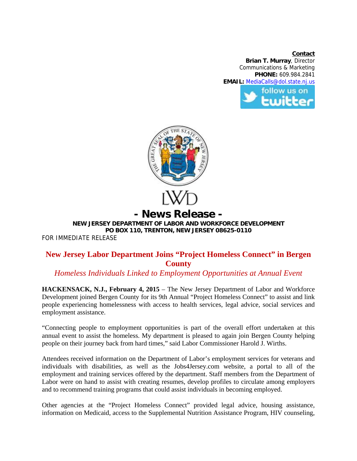**Contact Brian T. Murray**, Director Communications & Marketing **PHONE:** 609.984.2841 **EMAIL:** MediaCalls@dol.state.nj.us





## **NEW JERSEY DEPARTMENT OF LABOR AND WORKFORCE DEVELOPMENT PO BOX 110, TRENTON, NEW JERSEY 08625-0110**

FOR IMMEDIATE RELEASE

## **New Jersey Labor Department Joins "Project Homeless Connect" in Bergen County**

## *Homeless Individuals Linked to Employment Opportunities at Annual Event*

**HACKENSACK, N.J., February 4, 2015** – The New Jersey Department of Labor and Workforce Development joined Bergen County for its 9th Annual "Project Homeless Connect" to assist and link people experiencing homelessness with access to health services, legal advice, social services and employment assistance.

"Connecting people to employment opportunities is part of the overall effort undertaken at this annual event to assist the homeless. My department is pleased to again join Bergen County helping people on their journey back from hard times," said Labor Commissioner Harold J. Wirths.

Attendees received information on the Department of Labor's employment services for veterans and individuals with disabilities, as well as the Jobs4Jersey.com website, a portal to all of the employment and training services offered by the department. Staff members from the Department of Labor were on hand to assist with creating resumes, develop profiles to circulate among employers and to recommend training programs that could assist individuals in becoming employed.

Other agencies at the "Project Homeless Connect" provided legal advice, housing assistance, information on Medicaid, access to the Supplemental Nutrition Assistance Program, HIV counseling,